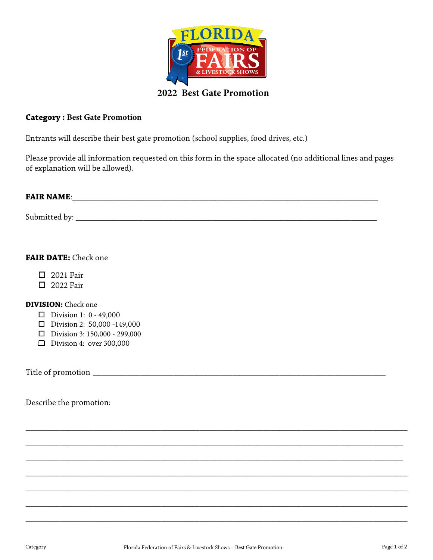

#### **Category : Best Gate Promotion**

Entrants will describe their best gate promotion (school supplies, food drives, etc.)

Please provide all information requested on this form in the space allocated (no additional lines and pages of explanation will be allowed).

# **FAIR NAME**: \_\_\_\_\_\_\_\_\_\_\_\_\_\_\_\_\_\_\_\_\_\_\_\_\_\_\_\_\_\_\_\_\_\_\_\_\_\_\_\_\_\_\_\_\_\_\_\_\_\_\_\_\_\_\_\_\_\_\_\_\_\_\_\_\_\_\_\_\_\_\_\_

Submitted by: \_\_\_\_\_\_\_\_\_\_\_\_\_\_\_\_\_\_\_\_\_\_\_\_\_\_\_\_\_\_\_\_\_\_\_\_\_\_\_\_\_\_\_\_\_\_\_\_\_\_\_\_\_\_\_\_\_\_\_\_\_\_\_\_\_\_\_\_\_\_\_

### **FAIR DATE:** Check one

- □ 2021 Fair
- **D** 2022 Fair

#### **DIVISION:** Check one

- $\Box$  Division 1: 0 49,000
- $\Box$  Division 2: 50,000 -149,000
- $\Box$  Division 3: 150,000 299,000
- Division 4: over  $300,000$

Title of promotion \_\_\_\_\_\_\_\_\_\_\_\_\_\_\_\_\_\_\_\_\_\_\_\_\_\_\_\_\_\_\_\_\_\_\_\_\_\_\_\_\_\_\_\_\_\_\_\_\_\_\_\_\_\_\_\_\_\_\_\_\_\_\_\_\_\_\_\_\_

Describe the promotion:

\_\_\_\_\_\_\_\_\_\_\_\_\_\_\_\_\_\_\_\_\_\_\_\_\_\_\_\_\_\_\_\_\_\_\_\_\_\_\_\_\_\_\_\_\_\_\_\_\_\_\_\_\_\_\_\_\_\_\_\_\_\_\_\_\_\_\_\_\_\_\_\_\_\_\_\_\_\_\_\_\_\_\_\_\_\_\_\_\_\_

\_\_\_\_\_\_\_\_\_\_\_\_\_\_\_\_\_\_\_\_\_\_\_\_\_\_\_\_\_\_\_\_\_\_\_\_\_\_\_\_\_\_\_\_\_\_\_\_\_\_\_\_\_\_\_\_\_\_\_\_\_\_\_\_\_\_\_\_\_\_\_\_\_\_\_\_\_\_\_\_\_\_\_\_\_\_\_\_\_

\_\_\_\_\_\_\_\_\_\_\_\_\_\_\_\_\_\_\_\_\_\_\_\_\_\_\_\_\_\_\_\_\_\_\_\_\_\_\_\_\_\_\_\_\_\_\_\_\_\_\_\_\_\_\_\_\_\_\_\_\_\_\_\_\_\_\_\_\_\_\_\_\_\_\_\_\_\_\_\_\_\_\_\_\_\_\_\_\_

\_\_\_\_\_\_\_\_\_\_\_\_\_\_\_\_\_\_\_\_\_\_\_\_\_\_\_\_\_\_\_\_\_\_\_\_\_\_\_\_\_\_\_\_\_\_\_\_\_\_\_\_\_\_\_\_\_\_\_\_\_\_\_\_\_\_\_\_\_\_\_\_\_\_\_\_\_\_\_\_\_\_\_\_\_\_\_\_\_\_

\_\_\_\_\_\_\_\_\_\_\_\_\_\_\_\_\_\_\_\_\_\_\_\_\_\_\_\_\_\_\_\_\_\_\_\_\_\_\_\_\_\_\_\_\_\_\_\_\_\_\_\_\_\_\_\_\_\_\_\_\_\_\_\_\_\_\_\_\_\_\_\_\_\_\_\_\_\_\_\_\_\_\_\_\_\_\_\_\_\_

\_\_\_\_\_\_\_\_\_\_\_\_\_\_\_\_\_\_\_\_\_\_\_\_\_\_\_\_\_\_\_\_\_\_\_\_\_\_\_\_\_\_\_\_\_\_\_\_\_\_\_\_\_\_\_\_\_\_\_\_\_\_\_\_\_\_\_\_\_\_\_\_\_\_\_\_\_\_\_\_\_\_\_\_\_\_\_\_\_\_

\_\_\_\_\_\_\_\_\_\_\_\_\_\_\_\_\_\_\_\_\_\_\_\_\_\_\_\_\_\_\_\_\_\_\_\_\_\_\_\_\_\_\_\_\_\_\_\_\_\_\_\_\_\_\_\_\_\_\_\_\_\_\_\_\_\_\_\_\_\_\_\_\_\_\_\_\_\_\_\_\_\_\_\_\_\_\_\_\_\_